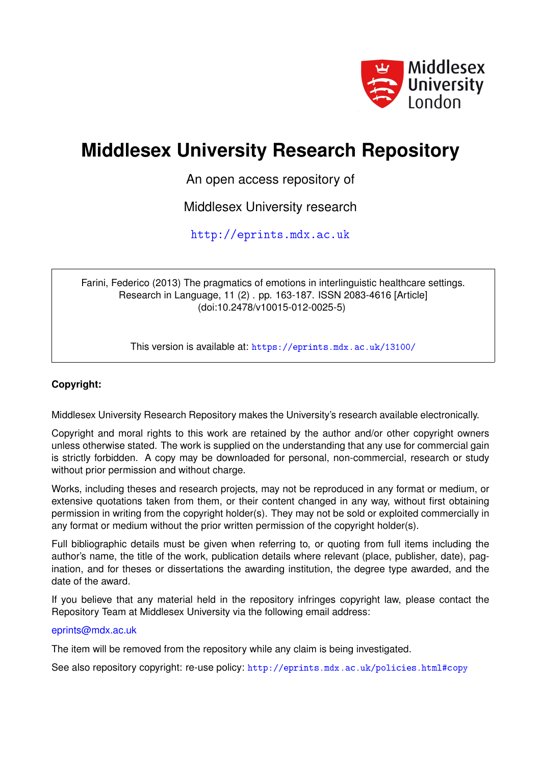

# **Middlesex University Research Repository**

An open access repository of

Middlesex University research

<http://eprints.mdx.ac.uk>

Farini, Federico (2013) The pragmatics of emotions in interlinguistic healthcare settings. Research in Language, 11 (2) . pp. 163-187. ISSN 2083-4616 [Article] (doi:10.2478/v10015-012-0025-5)

This version is available at: <https://eprints.mdx.ac.uk/13100/>

# **Copyright:**

Middlesex University Research Repository makes the University's research available electronically.

Copyright and moral rights to this work are retained by the author and/or other copyright owners unless otherwise stated. The work is supplied on the understanding that any use for commercial gain is strictly forbidden. A copy may be downloaded for personal, non-commercial, research or study without prior permission and without charge.

Works, including theses and research projects, may not be reproduced in any format or medium, or extensive quotations taken from them, or their content changed in any way, without first obtaining permission in writing from the copyright holder(s). They may not be sold or exploited commercially in any format or medium without the prior written permission of the copyright holder(s).

Full bibliographic details must be given when referring to, or quoting from full items including the author's name, the title of the work, publication details where relevant (place, publisher, date), pagination, and for theses or dissertations the awarding institution, the degree type awarded, and the date of the award.

If you believe that any material held in the repository infringes copyright law, please contact the Repository Team at Middlesex University via the following email address:

# [eprints@mdx.ac.uk](mailto:eprints@mdx.ac.uk)

The item will be removed from the repository while any claim is being investigated.

See also repository copyright: re-use policy: <http://eprints.mdx.ac.uk/policies.html#copy>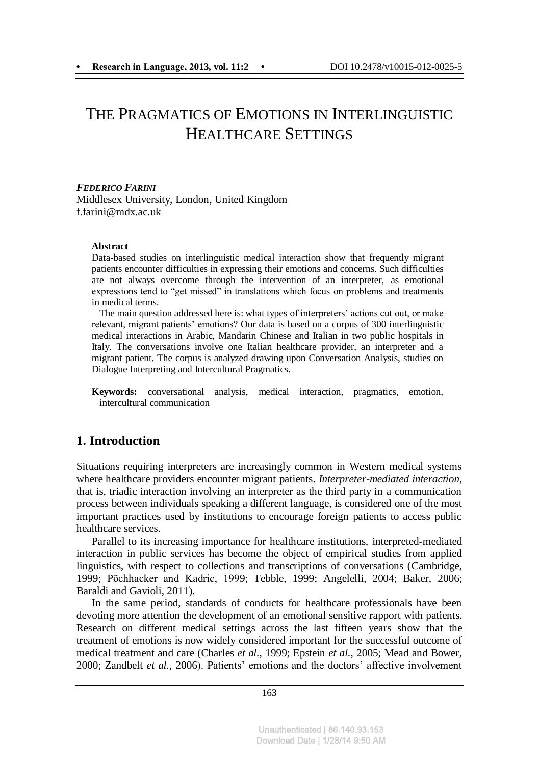# THE PRAGMATICS OF EMOTIONS IN INTERLINGUISTIC HEALTHCARE SETTINGS

#### *FEDERICO FARINI*

Middlesex University, London, United Kingdom f.farini@mdx.ac.uk

#### **Abstract**

Data-based studies on interlinguistic medical interaction show that frequently migrant patients encounter difficulties in expressing their emotions and concerns. Such difficulties are not always overcome through the intervention of an interpreter, as emotional expressions tend to "get missed" in translations which focus on problems and treatments in medical terms.

The main question addressed here is: what types of interpreters' actions cut out, or make relevant, migrant patients' emotions? Our data is based on a corpus of 300 interlinguistic medical interactions in Arabic, Mandarin Chinese and Italian in two public hospitals in Italy. The conversations involve one Italian healthcare provider, an interpreter and a migrant patient. The corpus is analyzed drawing upon Conversation Analysis, studies on Dialogue Interpreting and Intercultural Pragmatics.

**Keywords:** conversational analysis, medical interaction, pragmatics, emotion, intercultural communication

## **1. Introduction**

Situations requiring interpreters are increasingly common in Western medical systems where healthcare providers encounter migrant patients. *Interpreter-mediated interaction*, that is, triadic interaction involving an interpreter as the third party in a communication process between individuals speaking a different language, is considered one of the most important practices used by institutions to encourage foreign patients to access public healthcare services.

Parallel to its increasing importance for healthcare institutions, interpreted-mediated interaction in public services has become the object of empirical studies from applied linguistics, with respect to collections and transcriptions of conversations (Cambridge, 1999; Pöchhacker and Kadric, 1999; Tebble, 1999; Angelelli, 2004; Baker, 2006; Baraldi and Gavioli, 2011).

In the same period, standards of conducts for healthcare professionals have been devoting more attention the development of an emotional sensitive rapport with patients. Research on different medical settings across the last fifteen years show that the treatment of emotions is now widely considered important for the successful outcome of medical treatment and care (Charles *et al.*, 1999; Epstein *et al.*, 2005; Mead and Bower, 2000; Zandbelt *et al.*, 2006). Patients' emotions and the doctors' affective involvement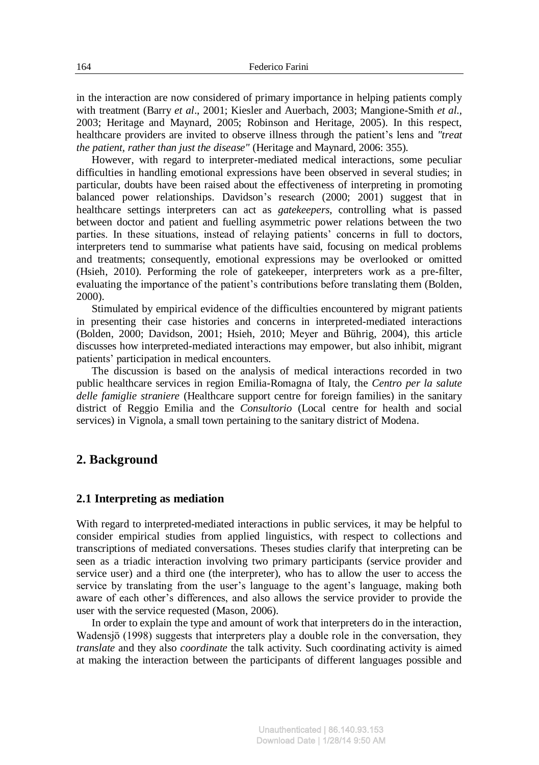in the interaction are now considered of primary importance in helping patients comply with treatment (Barry *et al*., 2001; Kiesler and Auerbach, 2003; Mangione-Smith *et al*., 2003; Heritage and Maynard, 2005; Robinson and Heritage, 2005). In this respect, healthcare providers are invited to observe illness through the patient's lens and *"treat the patient, rather than just the disease"* (Heritage and Maynard, 2006: 355).

However, with regard to interpreter-mediated medical interactions, some peculiar difficulties in handling emotional expressions have been observed in several studies; in particular, doubts have been raised about the effectiveness of interpreting in promoting balanced power relationships. Davidson's research (2000; 2001) suggest that in healthcare settings interpreters can act as *gatekeepers*, controlling what is passed between doctor and patient and fuelling asymmetric power relations between the two parties. In these situations, instead of relaying patients' concerns in full to doctors, interpreters tend to summarise what patients have said, focusing on medical problems and treatments; consequently, emotional expressions may be overlooked or omitted (Hsieh, 2010). Performing the role of gatekeeper, interpreters work as a pre-filter, evaluating the importance of the patient's contributions before translating them (Bolden, 2000).

Stimulated by empirical evidence of the difficulties encountered by migrant patients in presenting their case histories and concerns in interpreted-mediated interactions (Bolden, 2000; Davidson, 2001; Hsieh, 2010; Meyer and Bührig, 2004), this article discusses how interpreted-mediated interactions may empower, but also inhibit, migrant patients' participation in medical encounters.

The discussion is based on the analysis of medical interactions recorded in two public healthcare services in region Emilia-Romagna of Italy, the *Centro per la salute delle famiglie straniere* (Healthcare support centre for foreign families) in the sanitary district of Reggio Emilia and the *Consultorio* (Local centre for health and social services) in Vignola, a small town pertaining to the sanitary district of Modena.

#### **2. Background**

#### **2.1 Interpreting as mediation**

With regard to interpreted-mediated interactions in public services, it may be helpful to consider empirical studies from applied linguistics, with respect to collections and transcriptions of mediated conversations. Theses studies clarify that interpreting can be seen as a triadic interaction involving two primary participants (service provider and service user) and a third one (the interpreter), who has to allow the user to access the service by translating from the user's language to the agent's language, making both aware of each other's differences, and also allows the service provider to provide the user with the service requested (Mason, 2006).

In order to explain the type and amount of work that interpreters do in the interaction, Wadensjö (1998) suggests that interpreters play a double role in the conversation, they *translate* and they also *coordinate* the talk activity. Such coordinating activity is aimed at making the interaction between the participants of different languages possible and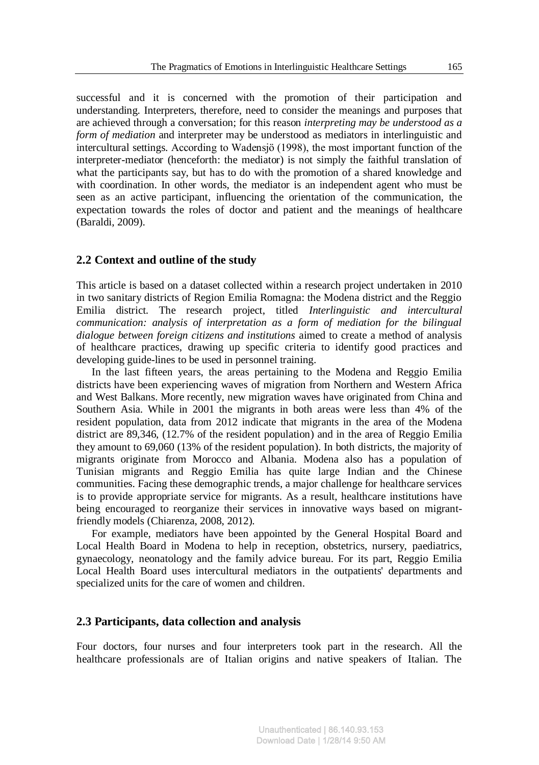successful and it is concerned with the promotion of their participation and understanding. Interpreters, therefore, need to consider the meanings and purposes that are achieved through a conversation; for this reason *interpreting may be understood as a form of mediation* and interpreter may be understood as mediators in interlinguistic and intercultural settings. According to Wadensjö (1998), the most important function of the interpreter-mediator (henceforth: the mediator) is not simply the faithful translation of what the participants say, but has to do with the promotion of a shared knowledge and with coordination. In other words, the mediator is an independent agent who must be seen as an active participant, influencing the orientation of the communication, the expectation towards the roles of doctor and patient and the meanings of healthcare (Baraldi, 2009).

#### **2.2 Context and outline of the study**

This article is based on a dataset collected within a research project undertaken in 2010 in two sanitary districts of Region Emilia Romagna: the Modena district and the Reggio Emilia district. The research project, titled *Interlinguistic and intercultural communication: analysis of interpretation as a form of mediation for the bilingual dialogue between foreign citizens and institutions* aimed to create a method of analysis of healthcare practices, drawing up specific criteria to identify good practices and developing guide-lines to be used in personnel training.

In the last fifteen years, the areas pertaining to the Modena and Reggio Emilia districts have been experiencing waves of migration from Northern and Western Africa and West Balkans. More recently, new migration waves have originated from China and Southern Asia. While in 2001 the migrants in both areas were less than 4% of the resident population, data from 2012 indicate that migrants in the area of the Modena district are 89,346, (12.7% of the resident population) and in the area of Reggio Emilia they amount to 69,060 (13% of the resident population). In both districts, the majority of migrants originate from Morocco and Albania. Modena also has a population of Tunisian migrants and Reggio Emilia has quite large Indian and the Chinese communities. Facing these demographic trends, a major challenge for healthcare services is to provide appropriate service for migrants. As a result, healthcare institutions have being encouraged to reorganize their services in innovative ways based on migrantfriendly models (Chiarenza, 2008, 2012).

For example, mediators have been appointed by the General Hospital Board and Local Health Board in Modena to help in reception, obstetrics, nursery, paediatrics, gynaecology, neonatology and the family advice bureau. For its part, Reggio Emilia Local Health Board uses intercultural mediators in the outpatients' departments and specialized units for the care of women and children.

#### **2.3 Participants, data collection and analysis**

Four doctors, four nurses and four interpreters took part in the research. All the healthcare professionals are of Italian origins and native speakers of Italian. The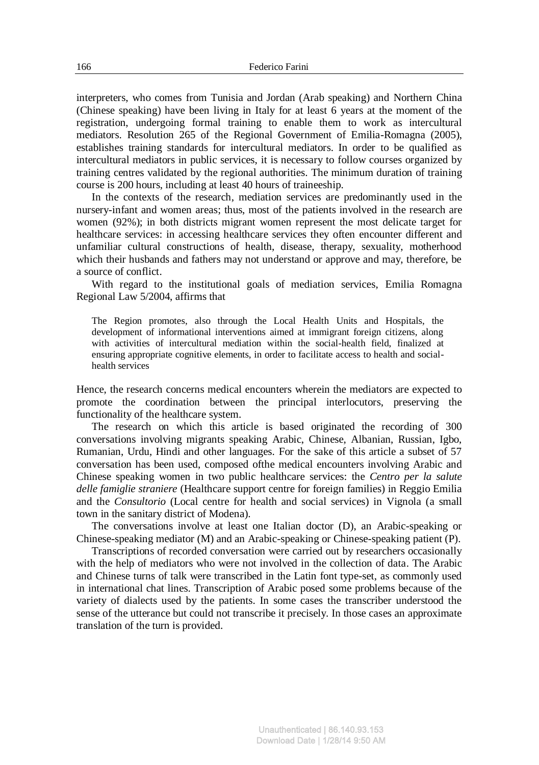interpreters, who comes from Tunisia and Jordan (Arab speaking) and Northern China (Chinese speaking) have been living in Italy for at least 6 years at the moment of the registration, undergoing formal training to enable them to work as intercultural mediators. Resolution 265 of the Regional Government of Emilia-Romagna (2005), establishes training standards for intercultural mediators. In order to be qualified as intercultural mediators in public services, it is necessary to follow courses organized by training centres validated by the regional authorities. The minimum duration of training course is 200 hours, including at least 40 hours of traineeship.

In the contexts of the research, mediation services are predominantly used in the nursery-infant and women areas; thus, most of the patients involved in the research are women (92%); in both districts migrant women represent the most delicate target for healthcare services: in accessing healthcare services they often encounter different and unfamiliar cultural constructions of health, disease, therapy, sexuality, motherhood which their husbands and fathers may not understand or approve and may, therefore, be a source of conflict.

With regard to the institutional goals of mediation services, Emilia Romagna Regional Law 5/2004, affirms that

The Region promotes, also through the Local Health Units and Hospitals, the development of informational interventions aimed at immigrant foreign citizens, along with activities of intercultural mediation within the social-health field, finalized at ensuring appropriate cognitive elements, in order to facilitate access to health and socialhealth services

Hence, the research concerns medical encounters wherein the mediators are expected to promote the coordination between the principal interlocutors, preserving the functionality of the healthcare system.

The research on which this article is based originated the recording of 300 conversations involving migrants speaking Arabic, Chinese, Albanian, Russian, Igbo, Rumanian, Urdu, Hindi and other languages. For the sake of this article a subset of 57 conversation has been used, composed ofthe medical encounters involving Arabic and Chinese speaking women in two public healthcare services: the *Centro per la salute delle famiglie straniere* (Healthcare support centre for foreign families) in Reggio Emilia and the *Consultorio* (Local centre for health and social services) in Vignola (a small town in the sanitary district of Modena).

The conversations involve at least one Italian doctor (D), an Arabic-speaking or Chinese-speaking mediator (M) and an Arabic-speaking or Chinese-speaking patient (P).

Transcriptions of recorded conversation were carried out by researchers occasionally with the help of mediators who were not involved in the collection of data. The Arabic and Chinese turns of talk were transcribed in the Latin font type-set, as commonly used in international chat lines. Transcription of Arabic posed some problems because of the variety of dialects used by the patients. In some cases the transcriber understood the sense of the utterance but could not transcribe it precisely. In those cases an approximate translation of the turn is provided.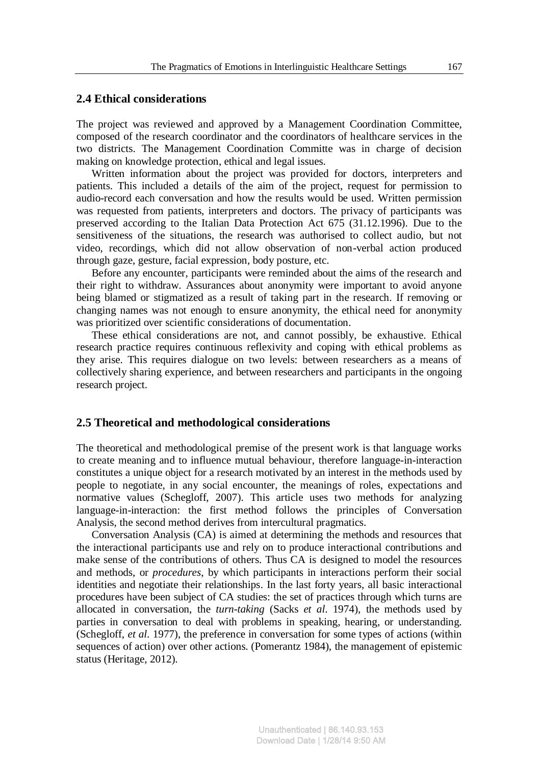#### **2.4 Ethical considerations**

The project was reviewed and approved by a Management Coordination Committee, composed of the research coordinator and the coordinators of healthcare services in the two districts. The Management Coordination Committe was in charge of decision making on knowledge protection, ethical and legal issues.

Written information about the project was provided for doctors, interpreters and patients. This included a details of the aim of the project, request for permission to audio-record each conversation and how the results would be used. Written permission was requested from patients, interpreters and doctors. The privacy of participants was preserved according to the Italian Data Protection Act 675 (31.12.1996). Due to the sensitiveness of the situations, the research was authorised to collect audio, but not video, recordings, which did not allow observation of non-verbal action produced through gaze, gesture, facial expression, body posture, etc.

Before any encounter, participants were reminded about the aims of the research and their right to withdraw. Assurances about anonymity were important to avoid anyone being blamed or stigmatized as a result of taking part in the research. If removing or changing names was not enough to ensure anonymity, the ethical need for anonymity was prioritized over scientific considerations of documentation.

These ethical considerations are not, and cannot possibly, be exhaustive. Ethical research practice requires continuous reflexivity and coping with ethical problems as they arise. This requires dialogue on two levels: between researchers as a means of collectively sharing experience, and between researchers and participants in the ongoing research project.

#### **2.5 Theoretical and methodological considerations**

The theoretical and methodological premise of the present work is that language works to create meaning and to influence mutual behaviour, therefore language-in-interaction constitutes a unique object for a research motivated by an interest in the methods used by people to negotiate, in any social encounter, the meanings of roles, expectations and normative values (Schegloff, 2007). This article uses two methods for analyzing language-in-interaction: the first method follows the principles of Conversation Analysis, the second method derives from intercultural pragmatics.

Conversation Analysis (CA) is aimed at determining the methods and resources that the interactional participants use and rely on to produce interactional contributions and make sense of the contributions of others. Thus CA is designed to model the resources and methods, or *procedures*, by which participants in interactions perform their social identities and negotiate their relationships. In the last forty years, all basic interactional procedures have been subject of CA studies: the set of practices through which turns are allocated in conversation, the *turn-taking* (Sacks *et al*. 1974), the methods used by parties in conversation to deal with problems in speaking, hearing, or understanding. (Schegloff, *et al*. 1977), the preference in conversation for some types of actions (within sequences of action) over other actions. (Pomerantz 1984), the management of epistemic status (Heritage, 2012).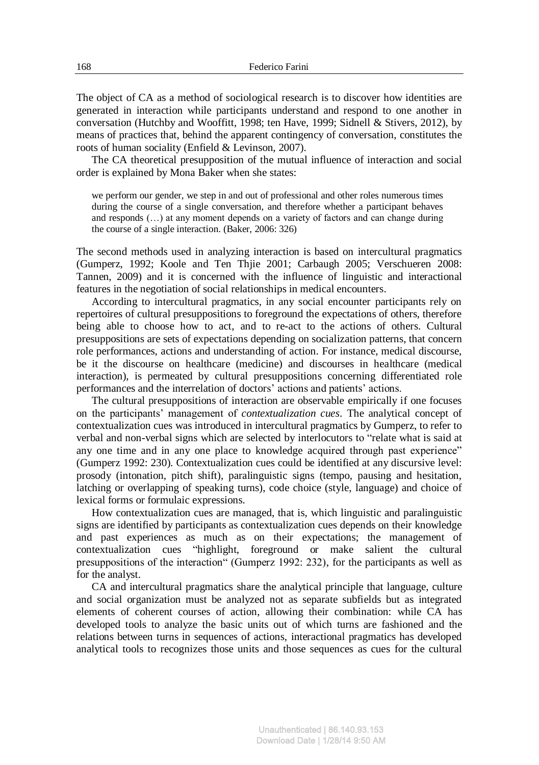The object of CA as a method of sociological research is to discover how identities are generated in interaction while participants understand and respond to one another in conversation (Hutchby and Wooffitt, 1998; ten Have, 1999; Sidnell & Stivers, 2012), by means of practices that, behind the apparent contingency of conversation, constitutes the roots of human sociality (Enfield & Levinson, 2007).

The CA theoretical presupposition of the mutual influence of interaction and social order is explained by Mona Baker when she states:

we perform our gender, we step in and out of professional and other roles numerous times during the course of a single conversation, and therefore whether a participant behaves and responds (…) at any moment depends on a variety of factors and can change during the course of a single interaction. (Baker, 2006: 326)

The second methods used in analyzing interaction is based on intercultural pragmatics (Gumperz, 1992; Koole and Ten Thjie 2001; Carbaugh 2005; Verschueren 2008: Tannen, 2009) and it is concerned with the influence of linguistic and interactional features in the negotiation of social relationships in medical encounters.

According to intercultural pragmatics, in any social encounter participants rely on repertoires of cultural presuppositions to foreground the expectations of others, therefore being able to choose how to act, and to re-act to the actions of others. Cultural presuppositions are sets of expectations depending on socialization patterns, that concern role performances, actions and understanding of action. For instance, medical discourse, be it the discourse on healthcare (medicine) and discourses in healthcare (medical interaction), is permeated by cultural presuppositions concerning differentiated role performances and the interrelation of doctors' actions and patients' actions.

The cultural presuppositions of interaction are observable empirically if one focuses on the participants' management of *contextualization cues*. The analytical concept of contextualization cues was introduced in intercultural pragmatics by Gumperz, to refer to verbal and non-verbal signs which are selected by interlocutors to "relate what is said at any one time and in any one place to knowledge acquired through past experience" (Gumperz 1992: 230). Contextualization cues could be identified at any discursive level: prosody (intonation, pitch shift), paralinguistic signs (tempo, pausing and hesitation, latching or overlapping of speaking turns), code choice (style, language) and choice of lexical forms or formulaic expressions.

How contextualization cues are managed, that is, which linguistic and paralinguistic signs are identified by participants as contextualization cues depends on their knowledge and past experiences as much as on their expectations; the management of contextualization cues "highlight, foreground or make salient the cultural presuppositions of the interaction" (Gumperz 1992: 232), for the participants as well as for the analyst.

CA and intercultural pragmatics share the analytical principle that language, culture and social organization must be analyzed not as separate subfields but as integrated elements of coherent courses of action, allowing their combination: while CA has developed tools to analyze the basic units out of which turns are fashioned and the relations between turns in sequences of actions, interactional pragmatics has developed analytical tools to recognizes those units and those sequences as cues for the cultural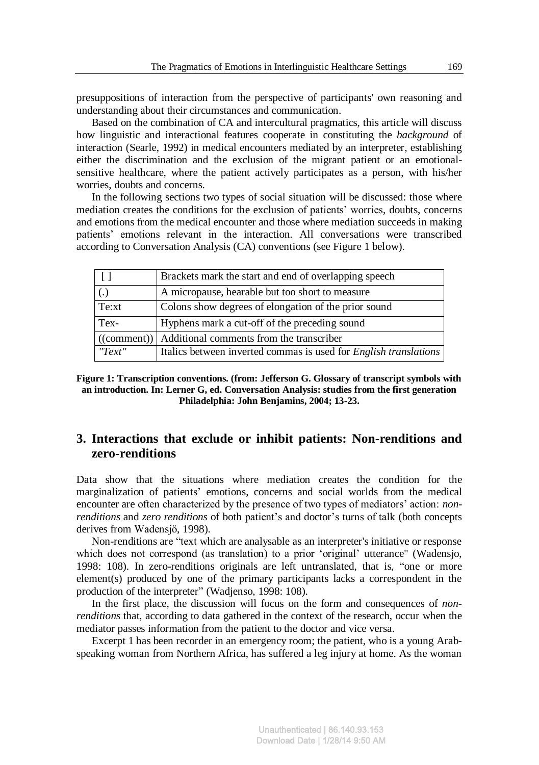presuppositions of interaction from the perspective of participants' own reasoning and understanding about their circumstances and communication.

Based on the combination of CA and intercultural pragmatics, this article will discuss how linguistic and interactional features cooperate in constituting the *background* of interaction (Searle, 1992) in medical encounters mediated by an interpreter, establishing either the discrimination and the exclusion of the migrant patient or an emotionalsensitive healthcare, where the patient actively participates as a person, with his/her worries, doubts and concerns.

In the following sections two types of social situation will be discussed: those where mediation creates the conditions for the exclusion of patients' worries, doubts, concerns and emotions from the medical encounter and those where mediation succeeds in making patients' emotions relevant in the interaction. All conversations were transcribed according to Conversation Analysis (CA) conventions (see Figure 1 below).

|           | Brackets mark the start and end of overlapping speech                   |
|-----------|-------------------------------------------------------------------------|
|           | A micropause, hearable but too short to measure                         |
| Te:xt     | Colons show degrees of elongation of the prior sound                    |
| Tex-      | Hyphens mark a cut-off of the preceding sound                           |
|           | $((comment))$ Additional comments from the transcriber                  |
| $T_{ext}$ | Italics between inverted commas is used for <i>English translations</i> |

**Figure 1: Transcription conventions. (from: Jefferson G. Glossary of transcript symbols with an introduction. In: Lerner G, ed. Conversation Analysis: studies from the first generation Philadelphia: John Benjamins, 2004; 13-23.**

# **3. Interactions that exclude or inhibit patients: Non-renditions and zero-renditions**

Data show that the situations where mediation creates the condition for the marginalization of patients' emotions, concerns and social worlds from the medical encounter are often characterized by the presence of two types of mediators' action: *nonrenditions* and *zero renditions* of both patient's and doctor's turns of talk (both concepts derives from Wadensjö, 1998).

Non-renditions are "text which are analysable as an interpreter's initiative or response which does not correspond (as translation) to a prior 'original' utterance" (Wadensjo, 1998: 108). In zero-renditions originals are left untranslated, that is, "one or more element(s) produced by one of the primary participants lacks a correspondent in the production of the interpreter" (Wadjenso, 1998: 108).

In the first place, the discussion will focus on the form and consequences of *nonrenditions* that, according to data gathered in the context of the research, occur when the mediator passes information from the patient to the doctor and vice versa.

Excerpt 1 has been recorder in an emergency room; the patient, who is a young Arabspeaking woman from Northern Africa, has suffered a leg injury at home. As the woman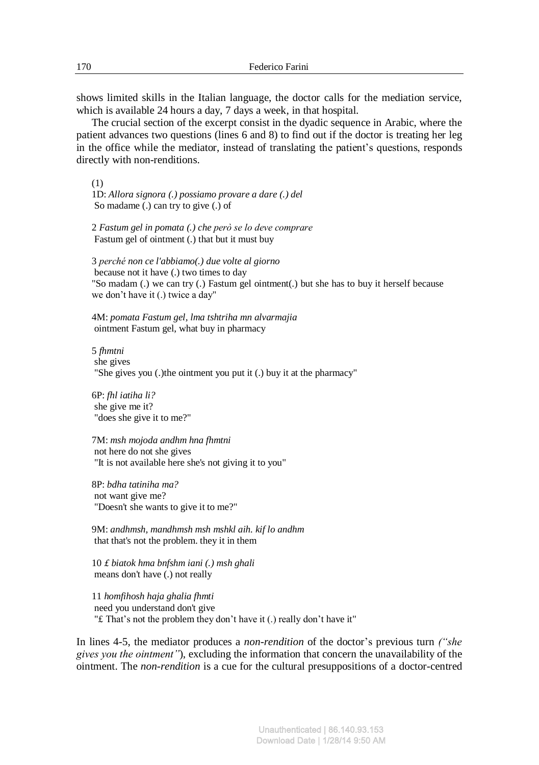shows limited skills in the Italian language, the doctor calls for the mediation service, which is available 24 hours a day, 7 days a week, in that hospital.

The crucial section of the excerpt consist in the dyadic sequence in Arabic, where the patient advances two questions (lines 6 and 8) to find out if the doctor is treating her leg in the office while the mediator, instead of translating the patient's questions, responds directly with non-renditions.

(1)

1D: *Allora signora (.) possiamo provare a dare (.) del*  So madame (.) can try to give (.) of

2 *Fastum gel in pomata (.) che però se lo deve comprare*  Fastum gel of ointment (.) that but it must buy

3 *perché non ce l'abbiamo(.) due volte al giorno* because not it have (.) two times to day "So madam (.) we can try (.) Fastum gel ointment(.) but she has to buy it herself because we don't have it (.) twice a day"

4M: *pomata Fastum gel, lma tshtriha mn alvarmajia* ointment Fastum gel, what buy in pharmacy

5 *fhmtni* she gives "She gives you (.)the ointment you put it (.) buy it at the pharmacy"

6P: *fhl iatiha li?* she give me it? "does she give it to me?"

7M: *msh mojoda andhm hna fhmtni* not here do not she gives "It is not available here she's not giving it to you"

8P: *bdha tatiniha ma?* not want give me? "Doesn't she wants to give it to me?"

9M: *andhmsh, mandhmsh msh mshkl aih. kif lo andhm* that that's not the problem. they it in them

10 *£ biatok hma bnfshm iani (.) msh ghali*  means don't have (.) not really

11 *homfihosh haja ghalia fhmti* need you understand don't give "£ That's not the problem they don't have it (.) really don't have it"

In lines 4-5, the mediator produces a *non-rendition* of the doctor's previous turn *("she gives you the ointment"*), excluding the information that concern the unavailability of the ointment. The *non-rendition* is a cue for the cultural presuppositions of a doctor-centred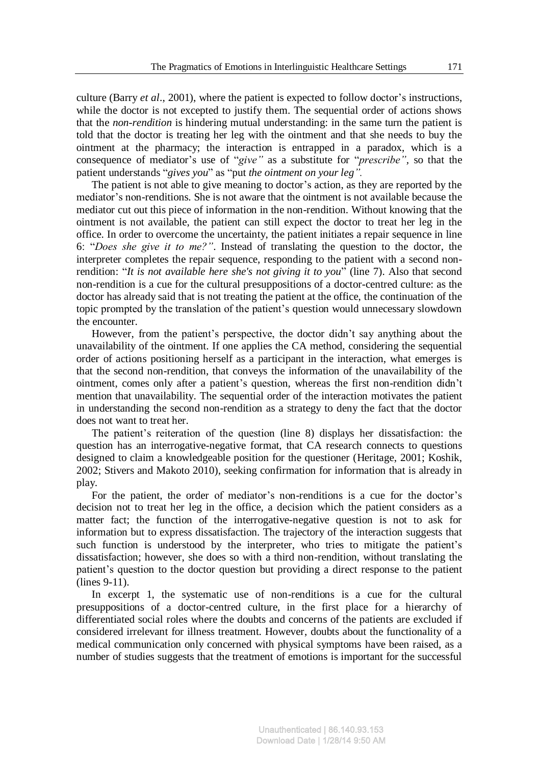culture (Barry *et al*., 2001), where the patient is expected to follow doctor's instructions, while the doctor is not excepted to justify them. The sequential order of actions shows that the *non-rendition* is hindering mutual understanding: in the same turn the patient is told that the doctor is treating her leg with the ointment and that she needs to buy the ointment at the pharmacy; the interaction is entrapped in a paradox, which is a consequence of mediator's use of "*give"* as a substitute for "*prescribe",* so that the patient understands "*gives you*" as "put *the ointment on your leg".*

The patient is not able to give meaning to doctor's action, as they are reported by the mediator's non-renditions. She is not aware that the ointment is not available because the mediator cut out this piece of information in the non-rendition. Without knowing that the ointment is not available, the patient can still expect the doctor to treat her leg in the office. In order to overcome the uncertainty, the patient initiates a repair sequence in line 6: "*Does she give it to me?"*. Instead of translating the question to the doctor, the interpreter completes the repair sequence, responding to the patient with a second nonrendition: "*It is not available here she's not giving it to you*" (line 7). Also that second non-rendition is a cue for the cultural presuppositions of a doctor-centred culture: as the doctor has already said that is not treating the patient at the office, the continuation of the topic prompted by the translation of the patient's question would unnecessary slowdown the encounter.

However, from the patient's perspective, the doctor didn't say anything about the unavailability of the ointment. If one applies the CA method, considering the sequential order of actions positioning herself as a participant in the interaction, what emerges is that the second non-rendition, that conveys the information of the unavailability of the ointment, comes only after a patient's question, whereas the first non-rendition didn't mention that unavailability. The sequential order of the interaction motivates the patient in understanding the second non-rendition as a strategy to deny the fact that the doctor does not want to treat her.

The patient's reiteration of the question (line 8) displays her dissatisfaction: the question has an interrogative-negative format, that CA research connects to questions designed to claim a knowledgeable position for the questioner (Heritage, 2001; Koshik, 2002; Stivers and Makoto 2010), seeking confirmation for information that is already in play.

For the patient, the order of mediator's non-renditions is a cue for the doctor's decision not to treat her leg in the office, a decision which the patient considers as a matter fact; the function of the interrogative-negative question is not to ask for information but to express dissatisfaction. The trajectory of the interaction suggests that such function is understood by the interpreter, who tries to mitigate the patient's dissatisfaction; however, she does so with a third non-rendition, without translating the patient's question to the doctor question but providing a direct response to the patient (lines 9-11).

In excerpt 1, the systematic use of non-renditions is a cue for the cultural presuppositions of a doctor-centred culture, in the first place for a hierarchy of differentiated social roles where the doubts and concerns of the patients are excluded if considered irrelevant for illness treatment. However, doubts about the functionality of a medical communication only concerned with physical symptoms have been raised, as a number of studies suggests that the treatment of emotions is important for the successful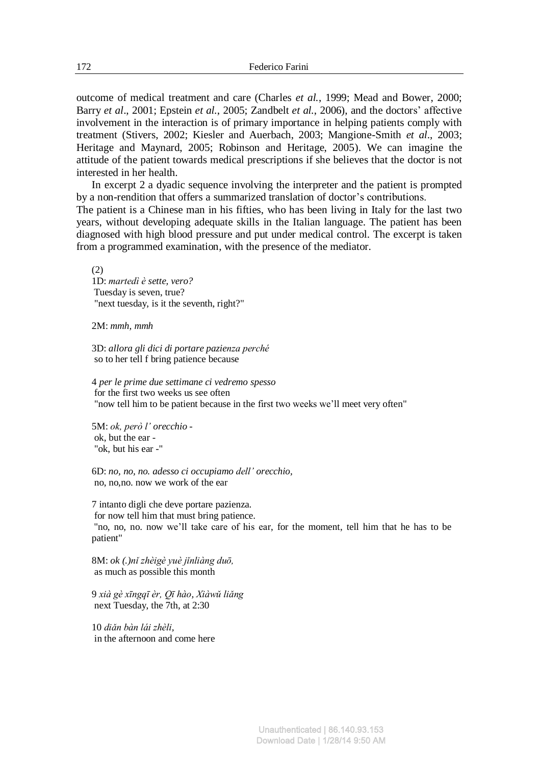outcome of medical treatment and care (Charles *et al.*, 1999; Mead and Bower, 2000; Barry *et al*., 2001; Epstein *et al.*, 2005; Zandbelt *et al.*, 2006), and the doctors' affective involvement in the interaction is of primary importance in helping patients comply with treatment (Stivers, 2002; Kiesler and Auerbach, 2003; Mangione-Smith *et al*., 2003; Heritage and Maynard, 2005; Robinson and Heritage, 2005). We can imagine the attitude of the patient towards medical prescriptions if she believes that the doctor is not interested in her health.

In excerpt 2 a dyadic sequence involving the interpreter and the patient is prompted by a non-rendition that offers a summarized translation of doctor's contributions.

The patient is a Chinese man in his fifties, who has been living in Italy for the last two years, without developing adequate skills in the Italian language. The patient has been diagnosed with high blood pressure and put under medical control. The excerpt is taken from a programmed examination, with the presence of the mediator.

(2) 1D: *martedì è sette, vero?* Tuesday is seven, true? "next tuesday, is it the seventh, right?"

2M: *mmh, mmh*

3D: *allora gli dici di portare pazienza perché*  so to her tell f bring patience because

4 *per le prime due settimane ci vedremo spesso* for the first two weeks us see often "now tell him to be patient because in the first two weeks we'll meet very often"

5M: *ok, però l' orecchio*  ok, but the ear - "ok, but his ear -"

6D: *no, no, no. adesso ci occupiamo dell' orecchio,* no, no,no. now we work of the ear

7 intanto digli che deve portare pazienza. for now tell him that must bring patience. "no, no, no. now we'll take care of his ear, for the moment, tell him that he has to be patient"

8M: *ok (.)nǐ zhèigè yuè jǐnliàng duō,* as much as possible this month

9 *xià gè xīngqī èr, Qī hào, Xiàwǔ liǎng* next Tuesday, the 7th, at 2:30

10 *diǎn bàn lái zhèli,* in the afternoon and come here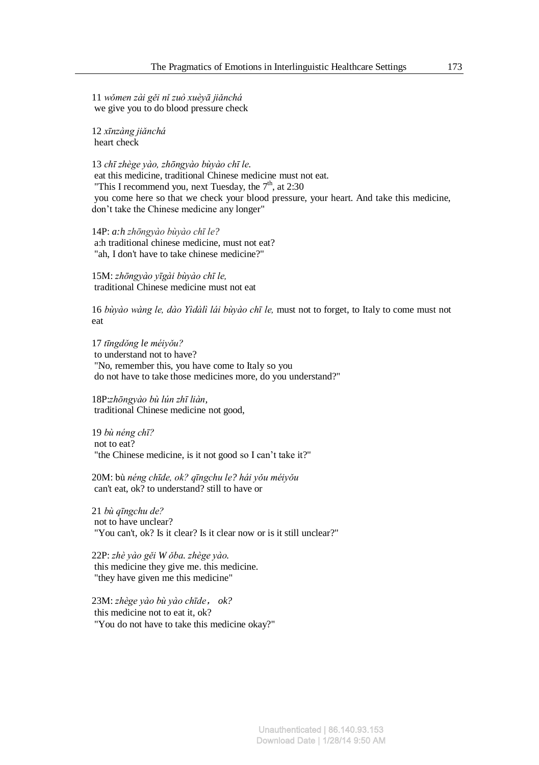11 *wǒmen zài gěi nǐ zuò xuèyā jiǎnchá* we give you to do blood pressure check

12 *xīnzàng jiǎnchá* heart check

13 *chī zhège yào, zhōngyào bùyào chī le.* eat this medicine, traditional Chinese medicine must not eat. "This I recommend you, next Tuesday, the  $7<sup>th</sup>$ , at 2:30 you come here so that we check your blood pressure, your heart. And take this medicine, don't take the Chinese medicine any longer"

14P: *a:h zhōngyào bùyào chī le?* a:h traditional chinese medicine, must not eat? "ah, I don't have to take chinese medicine?"

15M: *zhōngyào yīgài bùyào chī le,* traditional Chinese medicine must not eat

16 *bùyào wàng le, dào Yìdàlì lái bùyào chī le,* must not to forget, to Italy to come must not eat

17 *tīngdǒng le méiyǒu?* to understand not to have? "No, remember this, you have come to Italy so you do not have to take those medicines more, do you understand?"

18P:*zhōngyào bù lún zhī liàn,* traditional Chinese medicine not good,

19 *bù néng chī?* not to eat? "the Chinese medicine, is it not good so I can't take it?"

20M: bù *néng chīde, ok? qīngchu le? hái yǒu méiyǒu*  can't eat, ok? to understand? still to have or

21 *bù qīngchu de?* not to have unclear? "You can't, ok? Is it clear? Is it clear now or is it still unclear?"

22P: *zhè yào gěi W ǒba. zhège yào.* this medicine they give me. this medicine. "they have given me this medicine"

23M: *zhège yào bù yào chīde*, *ok?*  this medicine not to eat it, ok? "You do not have to take this medicine okay?"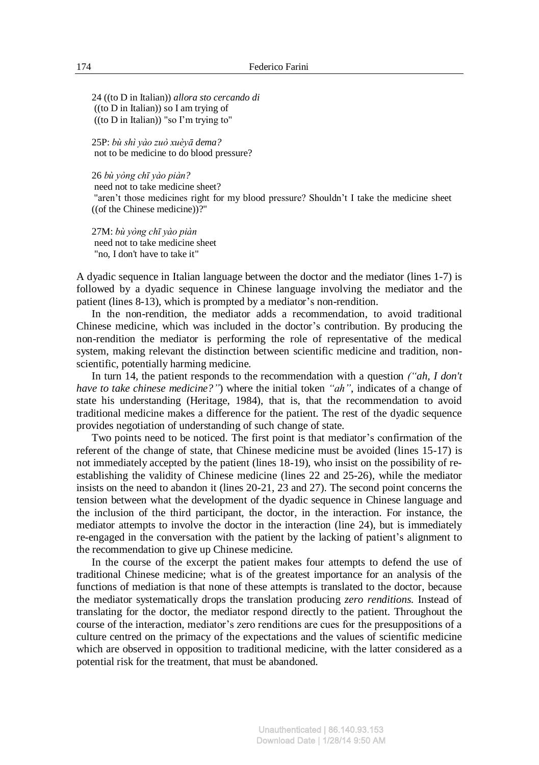24 ((to D in Italian)) *allora sto cercando di* ((to D in Italian)) so I am trying of ((to D in Italian)) "so I'm trying to"

25P: *bù shì yào zuò xuèyā dema?* not to be medicine to do blood pressure?

26 *bù yòng chī yào piàn?*

need not to take medicine sheet? "aren't those medicines right for my blood pressure? Shouldn't I take the medicine sheet ((of the Chinese medicine))?"

27M: *bù yòng chī yào piàn* need not to take medicine sheet "no, I don't have to take it"

A dyadic sequence in Italian language between the doctor and the mediator (lines 1-7) is followed by a dyadic sequence in Chinese language involving the mediator and the patient (lines 8-13), which is prompted by a mediator's non-rendition.

In the non-rendition, the mediator adds a recommendation, to avoid traditional Chinese medicine, which was included in the doctor's contribution. By producing the non-rendition the mediator is performing the role of representative of the medical system, making relevant the distinction between scientific medicine and tradition, nonscientific, potentially harming medicine.

In turn 14, the patient responds to the recommendation with a question *("ah, I don't have to take chinese medicine?"*) where the initial token *"ah"*, indicates of a change of state his understanding (Heritage, 1984), that is, that the recommendation to avoid traditional medicine makes a difference for the patient. The rest of the dyadic sequence provides negotiation of understanding of such change of state.

Two points need to be noticed. The first point is that mediator's confirmation of the referent of the change of state, that Chinese medicine must be avoided (lines 15-17) is not immediately accepted by the patient (lines 18-19), who insist on the possibility of reestablishing the validity of Chinese medicine (lines 22 and 25-26), while the mediator insists on the need to abandon it (lines 20-21, 23 and 27). The second point concerns the tension between what the development of the dyadic sequence in Chinese language and the inclusion of the third participant, the doctor, in the interaction. For instance, the mediator attempts to involve the doctor in the interaction (line 24), but is immediately re-engaged in the conversation with the patient by the lacking of patient's alignment to the recommendation to give up Chinese medicine.

In the course of the excerpt the patient makes four attempts to defend the use of traditional Chinese medicine; what is of the greatest importance for an analysis of the functions of mediation is that none of these attempts is translated to the doctor, because the mediator systematically drops the translation producing *zero renditions*. Instead of translating for the doctor, the mediator respond directly to the patient. Throughout the course of the interaction, mediator's zero renditions are cues for the presuppositions of a culture centred on the primacy of the expectations and the values of scientific medicine which are observed in opposition to traditional medicine, with the latter considered as a potential risk for the treatment, that must be abandoned.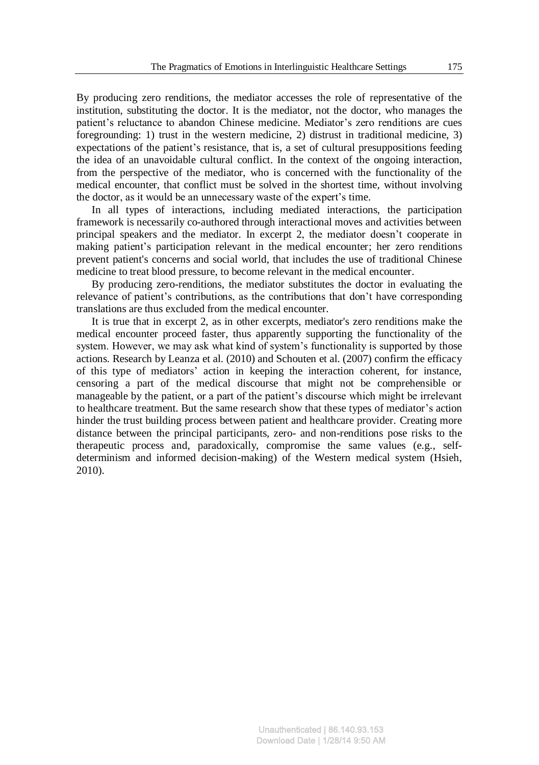By producing zero renditions, the mediator accesses the role of representative of the institution, substituting the doctor. It is the mediator, not the doctor, who manages the patient's reluctance to abandon Chinese medicine. Mediator's zero renditions are cues foregrounding: 1) trust in the western medicine, 2) distrust in traditional medicine, 3) expectations of the patient's resistance, that is, a set of cultural presuppositions feeding the idea of an unavoidable cultural conflict. In the context of the ongoing interaction, from the perspective of the mediator, who is concerned with the functionality of the medical encounter, that conflict must be solved in the shortest time, without involving the doctor, as it would be an unnecessary waste of the expert's time.

In all types of interactions, including mediated interactions, the participation framework is necessarily co-authored through interactional moves and activities between principal speakers and the mediator. In excerpt 2, the mediator doesn't cooperate in making patient's participation relevant in the medical encounter; her zero renditions prevent patient's concerns and social world, that includes the use of traditional Chinese medicine to treat blood pressure, to become relevant in the medical encounter.

By producing zero-renditions, the mediator substitutes the doctor in evaluating the relevance of patient's contributions, as the contributions that don't have corresponding translations are thus excluded from the medical encounter.

It is true that in excerpt 2, as in other excerpts, mediator's zero renditions make the medical encounter proceed faster, thus apparently supporting the functionality of the system. However, we may ask what kind of system's functionality is supported by those actions. Research by Leanza et al. (2010) and Schouten et al. (2007) confirm the efficacy of this type of mediators' action in keeping the interaction coherent, for instance, censoring a part of the medical discourse that might not be comprehensible or manageable by the patient, or a part of the patient's discourse which might be irrelevant to healthcare treatment. But the same research show that these types of mediator's action hinder the trust building process between patient and healthcare provider. Creating more distance between the principal participants, zero- and non-renditions pose risks to the therapeutic process and, paradoxically, compromise the same values (e.g., selfdeterminism and informed decision-making) of the Western medical system (Hsieh, 2010).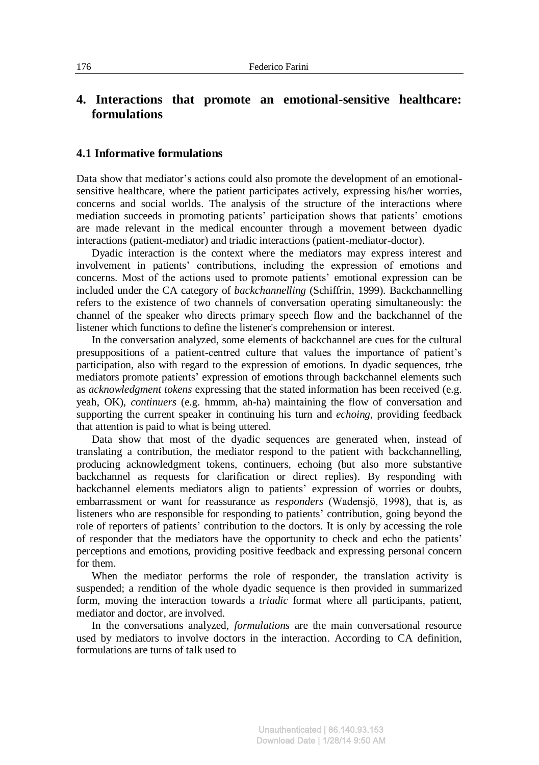# **4. Interactions that promote an emotional-sensitive healthcare: formulations**

#### **4.1 Informative formulations**

Data show that mediator's actions could also promote the development of an emotionalsensitive healthcare, where the patient participates actively, expressing his/her worries, concerns and social worlds. The analysis of the structure of the interactions where mediation succeeds in promoting patients' participation shows that patients' emotions are made relevant in the medical encounter through a movement between dyadic interactions (patient-mediator) and triadic interactions (patient-mediator-doctor).

Dyadic interaction is the context where the mediators may express interest and involvement in patients' contributions, including the expression of emotions and concerns. Most of the actions used to promote patients' emotional expression can be included under the CA category of *backchannelling* (Schiffrin, 1999). Backchannelling refers to the existence of two channels of conversation operating simultaneously: the channel of the speaker who directs primary speech flow and the backchannel of the listener which functions to define the listener's comprehension or interest.

In the conversation analyzed, some elements of backchannel are cues for the cultural presuppositions of a patient-centred culture that values the importance of patient's participation, also with regard to the expression of emotions. In dyadic sequences, trhe mediators promote patients' expression of emotions through backchannel elements such as *acknowledgment tokens* expressing that the stated information has been received (e.g. yeah, OK), *continuers* (e.g. hmmm, ah-ha) maintaining the flow of conversation and supporting the current speaker in continuing his turn and *echoing*, providing feedback that attention is paid to what is being uttered.

Data show that most of the dyadic sequences are generated when, instead of translating a contribution, the mediator respond to the patient with backchannelling, producing acknowledgment tokens, continuers, echoing (but also more substantive backchannel as requests for clarification or direct replies). By responding with backchannel elements mediators align to patients' expression of worries or doubts, embarrassment or want for reassurance as *responders* (Wadensjö, 1998), that is, as listeners who are responsible for responding to patients' contribution, going beyond the role of reporters of patients' contribution to the doctors. It is only by accessing the role of responder that the mediators have the opportunity to check and echo the patients' perceptions and emotions, providing positive feedback and expressing personal concern for them.

When the mediator performs the role of responder, the translation activity is suspended; a rendition of the whole dyadic sequence is then provided in summarized form, moving the interaction towards a *triadic* format where all participants, patient, mediator and doctor, are involved.

In the conversations analyzed, *formulations* are the main conversational resource used by mediators to involve doctors in the interaction. According to CA definition, formulations are turns of talk used to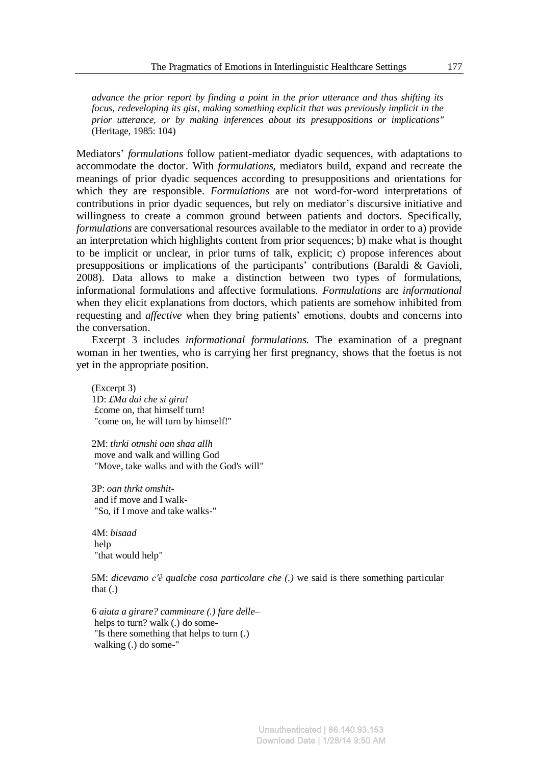*advance the prior report by finding a point in the prior utterance and thus shifting its focus, redeveloping its gist, making something explicit that was previously implicit in the prior utterance, or by making inferences about its presuppositions or implications"* (Heritage, 1985: 104)

Mediators' *formulations* follow patient-mediator dyadic sequences, with adaptations to accommodate the doctor. With *formulations,* mediators build, expand and recreate the meanings of prior dyadic sequences according to presuppositions and orientations for which they are responsible. *Formulations* are not word-for-word interpretations of contributions in prior dyadic sequences, but rely on mediator's discursive initiative and willingness to create a common ground between patients and doctors. Specifically, *formulations* are conversational resources available to the mediator in order to a) provide an interpretation which highlights content from prior sequences; b) make what is thought to be implicit or unclear, in prior turns of talk, explicit; c) propose inferences about presuppositions or implications of the participants' contributions (Baraldi & Gavioli, 2008). Data allows to make a distinction between two types of formulations, informational formulations and affective formulations. *Formulations* are *informational* when they elicit explanations from doctors, which patients are somehow inhibited from requesting and *affective* when they bring patients' emotions, doubts and concerns into the conversation.

Excerpt 3 includes *informational formulations*. The examination of a pregnant woman in her twenties, who is carrying her first pregnancy, shows that the foetus is not yet in the appropriate position.

(Excerpt 3) 1D: *£Ma dai che si gira!* £come on, that himself turn! "come on, he will turn by himself!"

2M: *thrki otmshi oan shaa allh* move and walk and willing God "Move, take walks and with the God's will"

3P: *oan thrkt omshit*and if move and I walk- "So, if I move and take walks-"

4M: *bisaad* help "that would help"

5M: *dicevamo c'è qualche cosa particolare che (.)* we said is there something particular that (.)

6 *aiuta a girare? camminare (.) fare delle–* helps to turn? walk (.) do some- "Is there something that helps to turn (.) walking (.) do some-"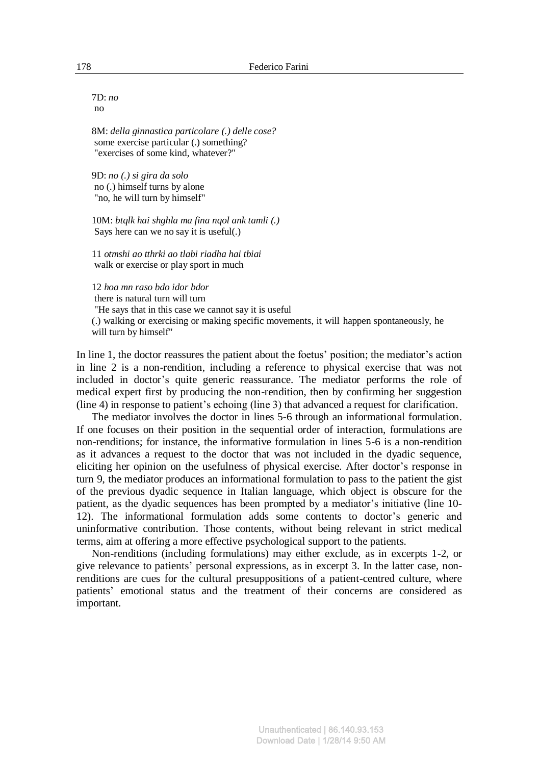7D: *no* no

8M: *della ginnastica particolare (.) delle cose?* some exercise particular (.) something? "exercises of some kind, whatever?"

9D: *no (.) si gira da solo* no (.) himself turns by alone "no, he will turn by himself"

10M: *btqlk hai shghla ma fina nqol ank tamli (.)* Says here can we no say it is useful(.)

11 *otmshi ao tthrki ao tlabi riadha hai tbiai* walk or exercise or play sport in much

12 *hoa mn raso bdo idor bdor*  there is natural turn will turn "He says that in this case we cannot say it is useful (.) walking or exercising or making specific movements, it will happen spontaneously, he will turn by himself"

In line 1, the doctor reassures the patient about the foetus' position; the mediator's action in line 2 is a non-rendition, including a reference to physical exercise that was not included in doctor's quite generic reassurance. The mediator performs the role of medical expert first by producing the non-rendition, then by confirming her suggestion (line 4) in response to patient's echoing (line 3) that advanced a request for clarification.

The mediator involves the doctor in lines 5-6 through an informational formulation. If one focuses on their position in the sequential order of interaction, formulations are non-renditions; for instance, the informative formulation in lines 5-6 is a non-rendition as it advances a request to the doctor that was not included in the dyadic sequence, eliciting her opinion on the usefulness of physical exercise. After doctor's response in turn 9, the mediator produces an informational formulation to pass to the patient the gist of the previous dyadic sequence in Italian language, which object is obscure for the patient, as the dyadic sequences has been prompted by a mediator's initiative (line 10- 12). The informational formulation adds some contents to doctor's generic and uninformative contribution. Those contents, without being relevant in strict medical terms, aim at offering a more effective psychological support to the patients.

Non-renditions (including formulations) may either exclude, as in excerpts 1-2, or give relevance to patients' personal expressions, as in excerpt 3. In the latter case, nonrenditions are cues for the cultural presuppositions of a patient-centred culture, where patients' emotional status and the treatment of their concerns are considered as important.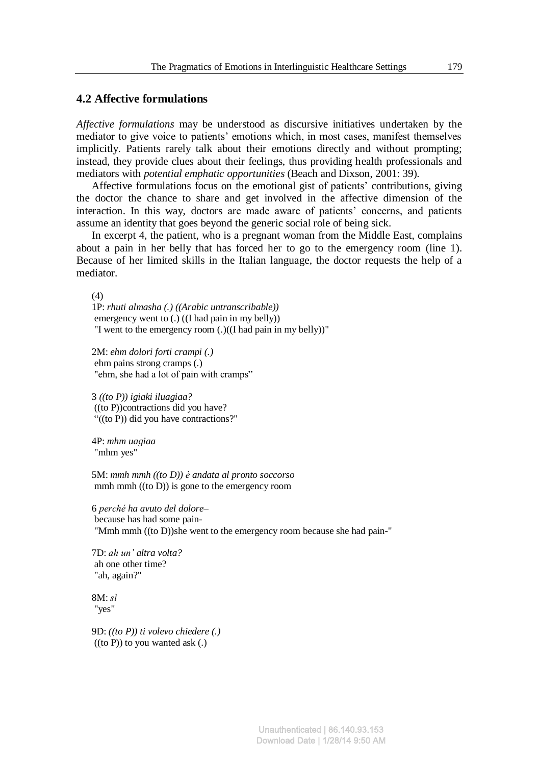#### **4.2 Affective formulations**

*Affective formulations* may be understood as discursive initiatives undertaken by the mediator to give voice to patients' emotions which, in most cases, manifest themselves implicitly. Patients rarely talk about their emotions directly and without prompting; instead, they provide clues about their feelings, thus providing health professionals and mediators with *potential emphatic opportunities* (Beach and Dixson, 2001: 39).

Affective formulations focus on the emotional gist of patients' contributions, giving the doctor the chance to share and get involved in the affective dimension of the interaction. In this way, doctors are made aware of patients' concerns, and patients assume an identity that goes beyond the generic social role of being sick.

In excerpt 4, the patient, who is a pregnant woman from the Middle East, complains about a pain in her belly that has forced her to go to the emergency room (line 1). Because of her limited skills in the Italian language, the doctor requests the help of a mediator.

(4) 1P: *rhuti almasha (.) ((Arabic untranscribable))* emergency went to (.) ((I had pain in my belly)) "I went to the emergency room (.)((I had pain in my belly))"

2M: *ehm dolori forti crampi (.)* ehm pains strong cramps (.) "ehm, she had a lot of pain with cramps"

3 *((to P)) igiaki iluagiaa?* ((to P))contractions did you have? "((to P)) did you have contractions?"

4P: *mhm uagiaa* "mhm yes"

5M: *mmh mmh ((to D)) è andata al pronto soccorso* mmh mmh ((to D)) is gone to the emergency room

6 *perché ha avuto del dolore–* because has had some pain- "Mmh mmh ((to D))she went to the emergency room because she had pain-"

7D: *ah un' altra volta?* ah one other time? "ah, again?"

8M: *sì* "yes"

9D: *((to P)) ti volevo chiedere (.)* ((to P)) to you wanted ask (.)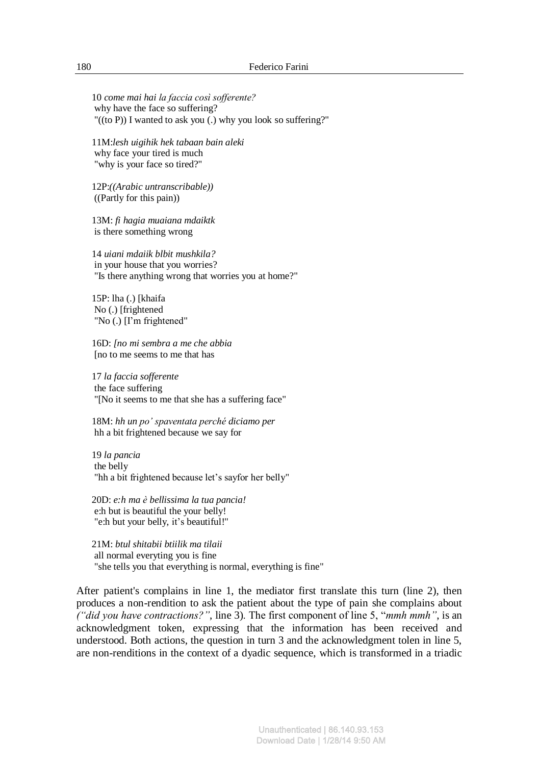10 *come mai hai la faccia così sofferente?* why have the face so suffering? "((to P)) I wanted to ask you (.) why you look so suffering?"

11M:*lesh uigihik hek tabaan bain aleki* why face your tired is much "why is your face so tired?"

12P:*((Arabic untranscribable))* ((Partly for this pain))

13M: *fi hagia muaiana mdaiktk* is there something wrong

14 *uiani mdaiik blbit mushkila?* in your house that you worries? "Is there anything wrong that worries you at home?"

15P: lha (.) [khaifa No (.) [frightened "No (.) [I'm frightened"

16D: *[no mi sembra a me che abbia* [no to me seems to me that has

17 *la faccia sofferente* the face suffering "[No it seems to me that she has a suffering face"

18M: *hh un po' spaventata perché diciamo per*  hh a bit frightened because we say for

19 *la pancia* the belly "hh a bit frightened because let's sayfor her belly"

20D: *e:h ma è bellissima la tua pancia!* e:h but is beautiful the your belly! "e:h but your belly, it's beautiful!"

21M: *btul shitabii btiilik ma tilaii* all normal everyting you is fine "she tells you that everything is normal, everything is fine"

After patient's complains in line 1, the mediator first translate this turn (line 2), then produces a non-rendition to ask the patient about the type of pain she complains about *("did you have contractions?"*, line 3). The first component of line 5, "*mmh mmh"*, is an acknowledgment token, expressing that the information has been received and understood. Both actions, the question in turn 3 and the acknowledgment tolen in line 5, are non-renditions in the context of a dyadic sequence, which is transformed in a triadic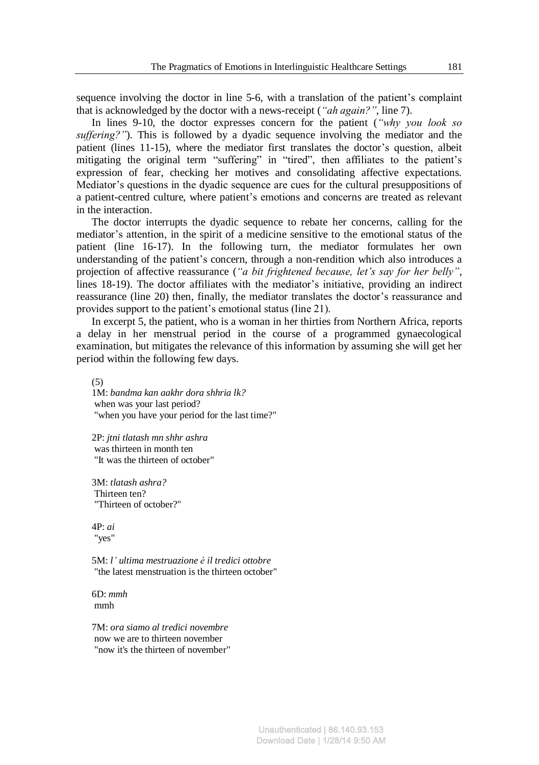sequence involving the doctor in line 5-6, with a translation of the patient's complaint that is acknowledged by the doctor with a news-receipt (*"ah again?"*, line 7).

In lines 9-10, the doctor expresses concern for the patient (*"why you look so suffering?"*). This is followed by a dyadic sequence involving the mediator and the patient (lines 11-15), where the mediator first translates the doctor's question, albeit mitigating the original term "suffering" in "tired", then affiliates to the patient's expression of fear, checking her motives and consolidating affective expectations. Mediator's questions in the dyadic sequence are cues for the cultural presuppositions of a patient-centred culture, where patient's emotions and concerns are treated as relevant in the interaction.

The doctor interrupts the dyadic sequence to rebate her concerns, calling for the mediator's attention, in the spirit of a medicine sensitive to the emotional status of the patient (line 16-17). In the following turn, the mediator formulates her own understanding of the patient's concern, through a non-rendition which also introduces a projection of affective reassurance (*"a bit frightened because, let's say for her belly"*, lines 18-19). The doctor affiliates with the mediator's initiative, providing an indirect reassurance (line 20) then, finally, the mediator translates the doctor's reassurance and provides support to the patient's emotional status (line 21).

In excerpt 5, the patient, who is a woman in her thirties from Northern Africa, reports a delay in her menstrual period in the course of a programmed gynaecological examination, but mitigates the relevance of this information by assuming she will get her period within the following few days.

(5) 1M: *bandma kan aakhr dora shhria lk?* when was your last period? "when you have your period for the last time?"

2P: *jtni tlatash mn shhr ashra* was thirteen in month ten "It was the thirteen of october"

3M: *tlatash ashra?* Thirteen ten? "Thirteen of october?"

4P: *ai* "yes"

5M: *l' ultima mestruazione è il tredici ottobre* "the latest menstruation is the thirteen october"

6D: *mmh* mmh

7M: *ora siamo al tredici novembre* now we are to thirteen november "now it's the thirteen of november"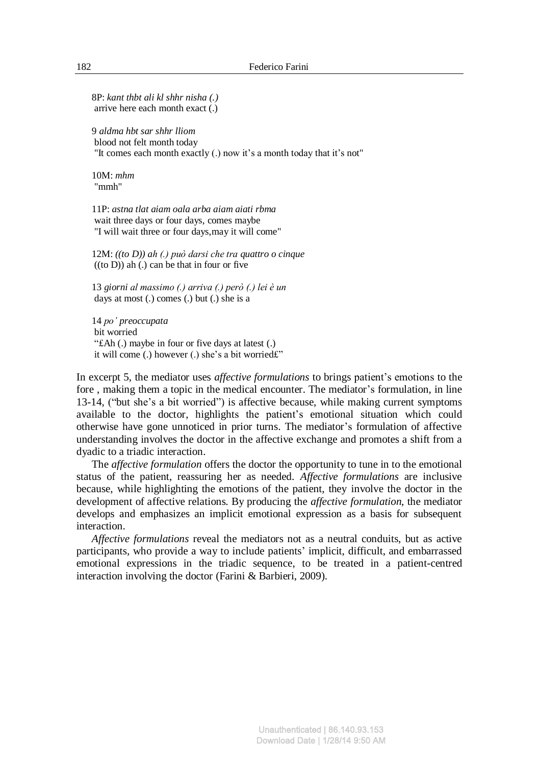8P: *kant thbt ali kl shhr nisha (.)* arrive here each month exact (.)

9 *aldma hbt sar shhr lliom* blood not felt month today "It comes each month exactly (.) now it's a month today that it's not"

10M: *mhm* "mmh"

11P: *astna tlat aiam oala arba aiam aiati rbma* wait three days or four days, comes maybe "I will wait three or four days,may it will come"

12M: *((to D)) ah (.) può darsi che tra quattro o cinque*  $((to D))$  ah  $(.)$  can be that in four or five

13 *giorni al massimo (.) arriva (.) però (.) lei è un*  days at most (.) comes (.) but (.) she is a

14 *po' preoccupata* bit worried "£Ah (.) maybe in four or five days at latest (.) it will come (.) however (.) she's a bit worried£"

In excerpt 5, the mediator uses *affective formulations* to brings patient's emotions to the fore , making them a topic in the medical encounter. The mediator's formulation, in line 13-14, ("but she's a bit worried") is affective because, while making current symptoms available to the doctor, highlights the patient's emotional situation which could otherwise have gone unnoticed in prior turns. The mediator's formulation of affective understanding involves the doctor in the affective exchange and promotes a shift from a dyadic to a triadic interaction.

The *affective formulation* offers the doctor the opportunity to tune in to the emotional status of the patient, reassuring her as needed. *Affective formulations* are inclusive because, while highlighting the emotions of the patient, they involve the doctor in the development of affective relations. By producing the *affective formulation*, the mediator develops and emphasizes an implicit emotional expression as a basis for subsequent interaction.

*Affective formulations* reveal the mediators not as a neutral conduits, but as active participants, who provide a way to include patients' implicit, difficult, and embarrassed emotional expressions in the triadic sequence, to be treated in a patient-centred interaction involving the doctor (Farini & Barbieri, 2009).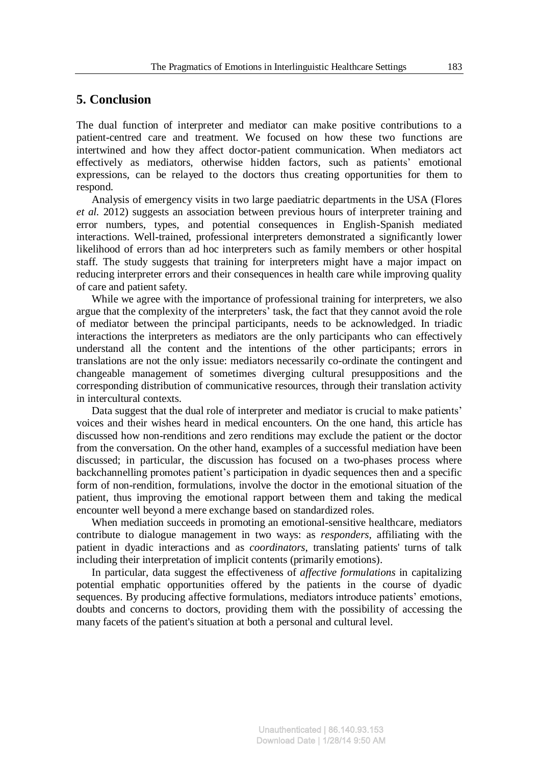# **5. Conclusion**

The dual function of interpreter and mediator can make positive contributions to a patient-centred care and treatment. We focused on how these two functions are intertwined and how they affect doctor-patient communication. When mediators act effectively as mediators, otherwise hidden factors, such as patients' emotional expressions, can be relayed to the doctors thus creating opportunities for them to respond.

Analysis of emergency visits in two large paediatric departments in the USA (Flores *et al.* 2012) suggests an association between previous hours of interpreter training and error numbers, types, and potential consequences in English-Spanish mediated interactions. Well-trained, professional interpreters demonstrated a significantly lower likelihood of errors than ad hoc interpreters such as family members or other hospital staff. The study suggests that training for interpreters might have a major impact on reducing interpreter errors and their consequences in health care while improving quality of care and patient safety.

While we agree with the importance of professional training for interpreters, we also argue that the complexity of the interpreters' task, the fact that they cannot avoid the role of mediator between the principal participants, needs to be acknowledged. In triadic interactions the interpreters as mediators are the only participants who can effectively understand all the content and the intentions of the other participants; errors in translations are not the only issue: mediators necessarily co-ordinate the contingent and changeable management of sometimes diverging cultural presuppositions and the corresponding distribution of communicative resources, through their translation activity in intercultural contexts.

Data suggest that the dual role of interpreter and mediator is crucial to make patients' voices and their wishes heard in medical encounters. On the one hand, this article has discussed how non-renditions and zero renditions may exclude the patient or the doctor from the conversation. On the other hand, examples of a successful mediation have been discussed; in particular, the discussion has focused on a two-phases process where backchannelling promotes patient's participation in dyadic sequences then and a specific form of non-rendition, formulations, involve the doctor in the emotional situation of the patient, thus improving the emotional rapport between them and taking the medical encounter well beyond a mere exchange based on standardized roles.

When mediation succeeds in promoting an emotional-sensitive healthcare, mediators contribute to dialogue management in two ways: as *responders,* affiliating with the patient in dyadic interactions and as *coordinators*, translating patients' turns of talk including their interpretation of implicit contents (primarily emotions).

In particular, data suggest the effectiveness of *affective formulations* in capitalizing potential emphatic opportunities offered by the patients in the course of dyadic sequences. By producing affective formulations, mediators introduce patients' emotions, doubts and concerns to doctors, providing them with the possibility of accessing the many facets of the patient's situation at both a personal and cultural level.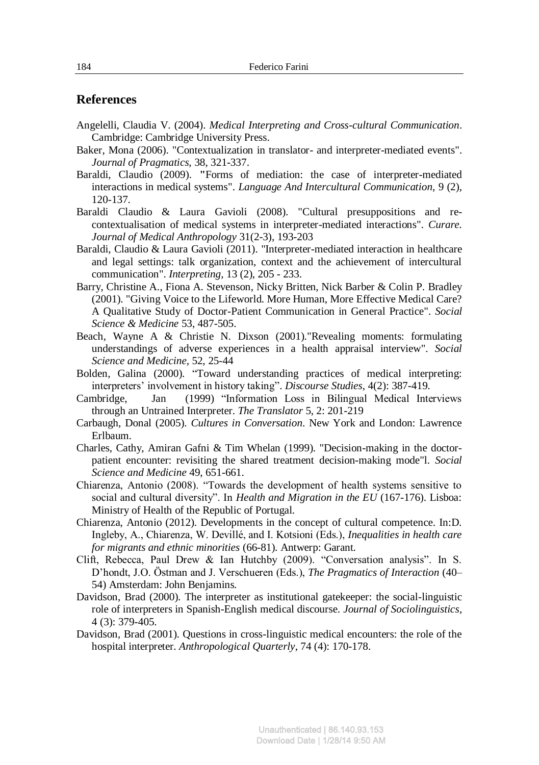#### **References**

- Angelelli, Claudia V. (2004). *Medical Interpreting and Cross-cultural Communication*. Cambridge: Cambridge University Press.
- Baker, Mona (2006). "Contextualization in translator- and interpreter-mediated events". *Journal of Pragmatics,* 38, 321-337.
- Baraldi, Claudio (2009). **"**Forms of mediation: the case of interpreter-mediated interactions in medical systems". *Language And Intercultural Communication*, 9 (2), 120-137.
- Baraldi Claudio & Laura Gavioli (2008). "Cultural presuppositions and recontextualisation of medical systems in interpreter-mediated interactions". *Curare. Journal of Medical Anthropology* 31(2-3), 193-203
- Baraldi, Claudio & Laura Gavioli (2011). "Interpreter-mediated interaction in healthcare and legal settings: talk organization, context and the achievement of intercultural communication". *Interpreting,* 13 (2), 205 - 233.
- Barry, Christine A., Fiona A. Stevenson, Nicky Britten, Nick Barber & Colin P. Bradley (2001). "Giving Voice to the Lifeworld. More Human, More Effective Medical Care? A Qualitative Study of Doctor-Patient Communication in General Practice". *Social Science & Medicine* 53, 487-505.
- Beach, Wayne A & Christie N. Dixson (2001)."Revealing moments: formulating understandings of adverse experiences in a health appraisal interview". *Social Science and Medicine*, 52, 25-44
- Bolden, Galina (2000). "Toward understanding practices of medical interpreting: interpreters' involvement in history taking". *Discourse Studies*, 4(2): 387-419.
- Cambridge, Jan (1999) "Information Loss in Bilingual Medical Interviews through an Untrained Interpreter. *The Translator* 5, 2: 201-219
- Carbaugh, Donal (2005). *Cultures in Conversation*. New York and London: Lawrence Erlbaum.
- Charles, Cathy, Amiran Gafni & Tim Whelan (1999). "Decision-making in the doctorpatient encounter: revisiting the shared treatment decision-making mode"l. *Social Science and Medicine* 49, 651-661.
- Chiarenza, Antonio (2008). "Towards the development of health systems sensitive to social and cultural diversity". In *Health and Migration in the EU* (167-176). Lisboa: Ministry of Health of the Republic of Portugal.
- Chiarenza, Antonio (2012). Developments in the concept of cultural competence. In:D. Ingleby, A., Chiarenza, W. Devillé, and I. Kotsioni (Eds.), *Inequalities in health care for migrants and ethnic minorities* (66-81). Antwerp: Garant.
- Clift, Rebecca, Paul Drew & Ian Hutchby (2009). "Conversation analysis". In S. D'hondt, J.O. Östman and J. Verschueren (Eds.), *The Pragmatics of Interaction* (40– 54) Amsterdam: John Benjamins.
- Davidson, Brad (2000). The interpreter as institutional gatekeeper: the social-linguistic role of interpreters in Spanish-English medical discourse. *Journal of Sociolinguistics*, 4 (3): 379-405.
- Davidson, Brad (2001). Questions in cross-linguistic medical encounters: the role of the hospital interpreter. *Anthropological Quarterly*, 74 (4): 170-178.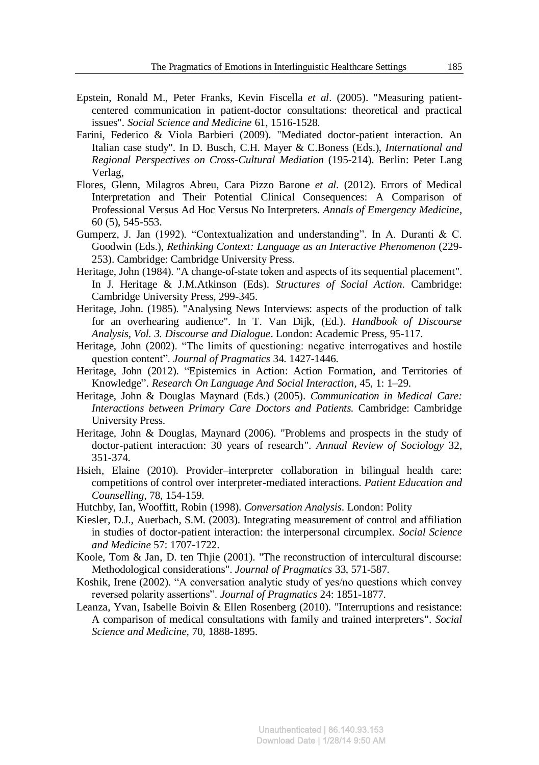- Epstein, Ronald M., Peter Franks, Kevin Fiscella *et al*. (2005). "Measuring patientcentered communication in patient-doctor consultations: theoretical and practical issues". *Social Science and Medicine* 61, 1516-1528.
- Farini, Federico & Viola Barbieri (2009). "Mediated doctor-patient interaction. An Italian case study". In D. Busch, C.H. Mayer & C.Boness (Eds.), *International and Regional Perspectives on Cross-Cultural Mediation* (195-214)*.* Berlin: Peter Lang Verlag,
- Flores, Glenn, Milagros Abreu, Cara Pizzo Barone *et al.* (2012). Errors of Medical Interpretation and Their Potential Clinical Consequences: A Comparison of Professional Versus Ad Hoc Versus No Interpreters. *Annals of Emergency Medicine,*  60 (5), 545-553.
- Gumperz, J. Jan (1992). "Contextualization and understanding". In A. Duranti & C. Goodwin (Eds.), *Rethinking Context: Language as an Interactive Phenomenon* (229- 253). Cambridge: Cambridge University Press.
- Heritage, John (1984). "A change-of-state token and aspects of its sequential placement". In J. Heritage & J.M.Atkinson (Eds). *Structures of Social Action*. Cambridge: Cambridge University Press, 299-345.
- Heritage, John. (1985). "Analysing News Interviews: aspects of the production of talk for an overhearing audience". In T. Van Dijk, (Ed.). *Handbook of Discourse Analysis, Vol. 3. Discourse and Dialogue*. London: Academic Press, 95-117.
- Heritage, John (2002). "The limits of questioning: negative interrogatives and hostile question content". *Journal of Pragmatics* 34. 1427-1446.
- Heritage, John (2012). "Epistemics in Action: Action Formation, and Territories of Knowledge". *Research On Language And Social Interaction*, 45, 1: 1–29.
- Heritage, John & Douglas Maynard (Eds.) (2005). *Communication in Medical Care: Interactions between Primary Care Doctors and Patients.* Cambridge: Cambridge University Press.
- Heritage, John & Douglas, Maynard (2006). "Problems and prospects in the study of doctor-patient interaction: 30 years of research". *Annual Review of Sociology* 32, 351-374.
- Hsieh, Elaine (2010). Provider–interpreter collaboration in bilingual health care: competitions of control over interpreter-mediated interactions. *Patient Education and Counselling*, 78, 154-159.
- Hutchby, Ian, Wooffitt, Robin (1998). *Conversation Analysis*. London: Polity
- Kiesler, D.J., Auerbach, S.M. (2003). Integrating measurement of control and affiliation in studies of doctor-patient interaction: the interpersonal circumplex. *Social Science and Medicine* 57: 1707-1722.
- Koole, Tom & Jan, D. ten Thjie (2001). "The reconstruction of intercultural discourse: Methodological considerations". *Journal of Pragmatics* 33, 571-587.
- Koshik, Irene (2002). "A conversation analytic study of yes/no questions which convey reversed polarity assertions". *Journal of Pragmatics* 24: 1851-1877.
- Leanza, Yvan, Isabelle Boivin & Ellen Rosenberg (2010). "Interruptions and resistance: A comparison of medical consultations with family and trained interpreters". *Social Science and Medicine,* 70, 1888-1895.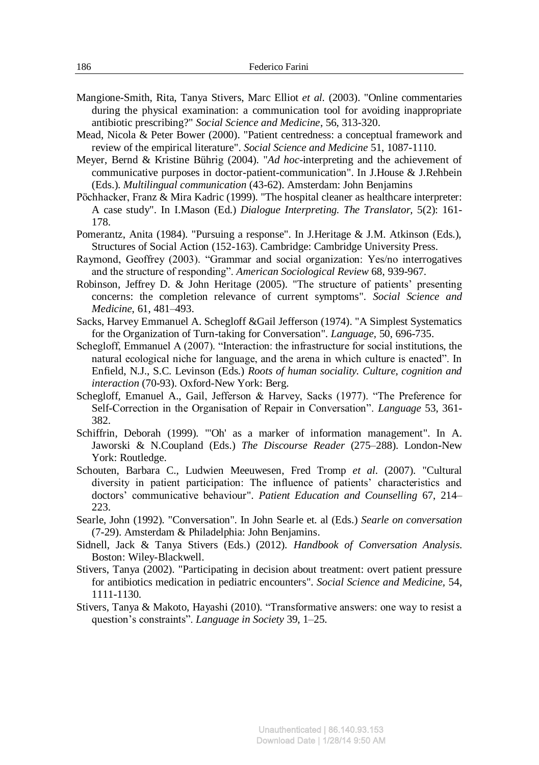- Mangione-Smith, Rita, Tanya Stivers, Marc Elliot *et al.* (2003). "Online commentaries during the physical examination: a communication tool for avoiding inappropriate antibiotic prescribing?" *Social Science and Medicine*, 56, 313-320.
- Mead, Nicola & Peter Bower (2000). "Patient centredness: a conceptual framework and review of the empirical literature". *Social Science and Medicine* 51, 1087-1110.
- Meyer, Bernd & Kristine Bührig (2004). "*Ad hoc*-interpreting and the achievement of communicative purposes in doctor-patient-communication". In J.House & J.Rehbein (Eds.). *Multilingual communication* (43-62). Amsterdam: John Benjamins
- Pöchhacker, Franz & Mira Kadric (1999). "The hospital cleaner as healthcare interpreter: A case study". In I.Mason (Ed.) *Dialogue Interpreting. The Translator,* 5(2): 161- 178.
- Pomerantz, Anita (1984). "Pursuing a response". In J.Heritage & J.M. Atkinson (Eds.), Structures of Social Action (152-163). Cambridge: Cambridge University Press.
- Raymond, Geoffrey (2003). "Grammar and social organization: Yes/no interrogatives and the structure of responding". *American Sociological Review* 68, 939-967.
- Robinson, Jeffrey D. & John Heritage (2005). "The structure of patients' presenting concerns: the completion relevance of current symptoms". *Social Science and Medicine*, 61, 481–493.
- Sacks, Harvey Emmanuel A. Schegloff &Gail Jefferson (1974). "A Simplest Systematics for the Organization of Turn-taking for Conversation". *Language,* 50, 696-735.
- Schegloff, Emmanuel A (2007). "Interaction: the infrastructure for social institutions, the natural ecological niche for language, and the arena in which culture is enacted". In Enfield, N.J., S.C. Levinson (Eds.) *Roots of human sociality. Culture, cognition and interaction* (70-93). Oxford-New York: Berg.
- Schegloff, Emanuel A., Gail, Jefferson & Harvey, Sacks (1977). "The Preference for Self-Correction in the Organisation of Repair in Conversation". *Language* 53, 361- 382.
- Schiffrin, Deborah (1999). "'Oh' as a marker of information management". In A. Jaworski & N.Coupland (Eds.) *The Discourse Reader* (275–288). London-New York: Routledge.
- Schouten, Barbara C., Ludwien Meeuwesen, Fred Tromp *et al*. (2007). "Cultural diversity in patient participation: The influence of patients' characteristics and doctors' communicative behaviour". *Patient Education and Counselling* 67, 214– 223.
- Searle, John (1992). "Conversation". In John Searle et. al (Eds.) *Searle on conversation* (7-29). Amsterdam & Philadelphia: John Benjamins.
- Sidnell, Jack & Tanya Stivers (Eds.) (2012). *Handbook of Conversation Analysis*. Boston: Wiley-Blackwell.
- Stivers, Tanya (2002). "Participating in decision about treatment: overt patient pressure for antibiotics medication in pediatric encounters". *Social Science and Medicine,* 54, 1111-1130.
- Stivers, Tanya & Makoto, Hayashi (2010). "Transformative answers: one way to resist a question's constraints". *Language in Society* 39, 1–25.